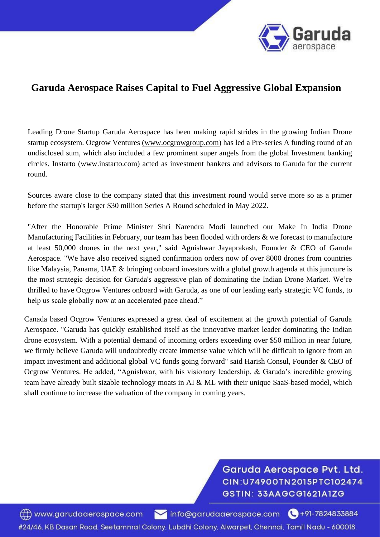

## **Garuda Aerospace Raises Capital to Fuel Aggressive Global Expansion**

Leading Drone Startup Garuda Aerospace has been making rapid strides in the growing Indian Drone startup ecosystem. Ocgrow Ventures (www.ocgrowgroup.com) has led a Pre-series A funding round of an undisclosed sum, which also included a few prominent super angels from the global Investment banking circles. Instarto (www.instarto.com) acted as investment bankers and advisors to Garuda for the current round.

Sources aware close to the company stated that this investment round would serve more so as a primer before the startup's larger \$30 million Series A Round scheduled in May 2022.

"After the Honorable Prime Minister Shri Narendra Modi launched our Make In India Drone Manufacturing Facilities in February, our team has been flooded with orders & we forecast to manufacture at least 50,000 drones in the next year," said Agnishwar Jayaprakash, Founder & CEO of Garuda Aerospace. "We have also received signed confirmation orders now of over 8000 drones from countries like Malaysia, Panama, UAE & bringing onboard investors with a global growth agenda at this juncture is the most strategic decision for Garuda's aggressive plan of dominating the Indian Drone Market. We're thrilled to have Ocgrow Ventures onboard with Garuda, as one of our leading early strategic VC funds, to help us scale globally now at an accelerated pace ahead."

Canada based Ocgrow Ventures expressed a great deal of excitement at the growth potential of Garuda Aerospace. "Garuda has quickly established itself as the innovative market leader dominating the Indian drone ecosystem. With a potential demand of incoming orders exceeding over \$50 million in near future, we firmly believe Garuda will undoubtedly create immense value which will be difficult to ignore from an impact investment and additional global VC funds going forward" said Harish Consul, Founder & CEO of Ocgrow Ventures. He added, "Agnishwar, with his visionary leadership, & Garuda's incredible growing team have already built sizable technology moats in AI & ML with their unique SaaS-based model, which shall continue to increase the valuation of the company in coming years.

> Garuda Aerospace Pvt. Ltd. CIN:U74900TN2015PTC102474 GSTIN: 33AAGCG1621A1ZG

www.garudaaerospace.com Info@garudaaerospace.com (491-7824833884 #24/46, KB Dasan Road, Seetammal Colony, Lubdhi Colony, Alwarpet, Chennai, Tamil Nadu - 600018.